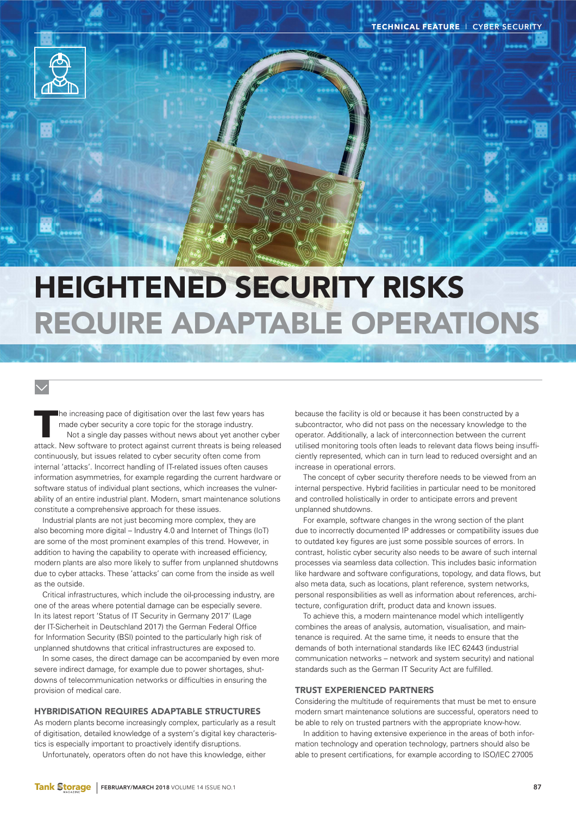

# HEIGHTENED SECURITY RISKS REQUIRE ADAPTABLE OPERATIONS

T he increasing pace of digitisation over the last few years has made cyber security a core topic for the storage industry. Not a single day passes without news about yet another cyber attack. New software to protect against current threats is being released continuously, but issues related to cyber security often come from internal 'attacks'. Incorrect handling of IT-related issues often causes information asymmetries, for example regarding the current hardware or software status of individual plant sections, which increases the vulnerability of an entire industrial plant. Modern, smart maintenance solutions constitute a comprehensive approach for these issues.

Industrial plants are not just becoming more complex, they are also becoming more digital  $-$  Industry 4.0 and Internet of Things (IoT) are some of the most prominent examples of this trend. However, in addition to having the capability to operate with increased efficiency, modern plants are also more likely to suffer from unplanned shutdowns due to cyber attacks. These 'attacks' can come from the inside as well as the outside.

Critical infrastructures, which include the oil-processing industry, are one of the areas where potential damage can be especially severe. In its latest report 'Status of IT Security in Germany 2017' (Lage der IT-Sicherheit in Deutschland 2017) the German Federal Office for Information Security (BSI) pointed to the particularly high risk of unplanned shutdowns that critical infrastructures are exposed to.

In some cases, the direct damage can be accompanied by even more severe indirect damage, for example due to power shortages, shutdowns of telecommunication networks or difficulties in ensuring the provision of medical care.

## HYBRIDISATION REQUIRES ADAPTABLE STRUCTURES

As modern plants become increasingly complex, particularly as a result of digitisation, detailed knowledge of a system's digital key characteristics is especially important to proactively identify disruptions.

Unfortunately, operators often do not have this knowledge, either

because the facility is old or because it has been constructed by a subcontractor, who did not pass on the necessary knowledge to the operator. Additionally, a lack of interconnection between the current utilised monitoring tools often leads to relevant data flows being insufficiently represented, which can in turn lead to reduced oversight and an increase in operational errors.

The concept of cyber security therefore needs to be viewed from an internal perspective. Hybrid facilities in particular need to be monitored and controlled holistically in order to anticipate errors and prevent unplanned shutdowns.

For example, software changes in the wrong section of the plant due to incorrectly documented IP addresses or compatibility issues due to outdated key figures are just some possible sources of errors. In contrast, holistic cyber security also needs to be aware of such internal processes via seamless data collection. This includes basic information like hardware and software configurations, topology, and data flows, but also meta data, such as locations, plant reference, system networks, personal responsibilities as well as information about references, architecture, configuration drift, product data and known issues.

To achieve this, a modern maintenance model which intelligently combines the areas of analysis, automation, visualisation, and maintenance is required. At the same time, it needs to ensure that the demands of both international standards like IEC 62443 (industrial communication networks – network and system security) and national standards such as the German IT Security Act are fulfilled.

#### TRUST EXPERIENCED PARTNERS

Considering the multitude of requirements that must be met to ensure modern smart maintenance solutions are successful, operators need to be able to rely on trusted partners with the appropriate know-how.

In addition to having extensive experience in the areas of both information technology and operation technology, partners should also be able to present certifications, for example according to ISO/IEC 27005